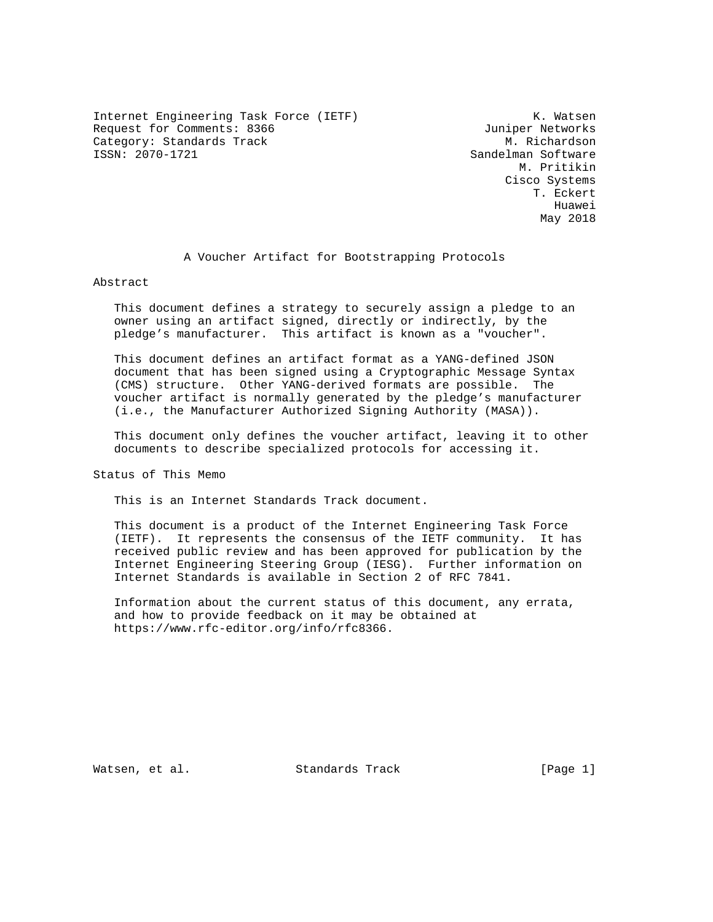Internet Engineering Task Force (IETF) The Control of the K. Watsen Request for Comments: 8366 Juniper Networks Category: Standards Track M. Richardson<br>
ISSN: 2070-1721 Sandelman Software

Sandelman Software M. Pritikin Cisco Systems T. Eckert he distributed by the control of the control of the control of the control of the control of the control of the control of the control of the control of the control of the control of the control of the control of the contr May 2018

A Voucher Artifact for Bootstrapping Protocols

Abstract

 This document defines a strategy to securely assign a pledge to an owner using an artifact signed, directly or indirectly, by the pledge's manufacturer. This artifact is known as a "voucher".

 This document defines an artifact format as a YANG-defined JSON document that has been signed using a Cryptographic Message Syntax (CMS) structure. Other YANG-derived formats are possible. The voucher artifact is normally generated by the pledge's manufacturer (i.e., the Manufacturer Authorized Signing Authority (MASA)).

 This document only defines the voucher artifact, leaving it to other documents to describe specialized protocols for accessing it.

Status of This Memo

This is an Internet Standards Track document.

 This document is a product of the Internet Engineering Task Force (IETF). It represents the consensus of the IETF community. It has received public review and has been approved for publication by the Internet Engineering Steering Group (IESG). Further information on Internet Standards is available in Section 2 of RFC 7841.

 Information about the current status of this document, any errata, and how to provide feedback on it may be obtained at https://www.rfc-editor.org/info/rfc8366.

Watsen, et al. Standards Track [Page 1]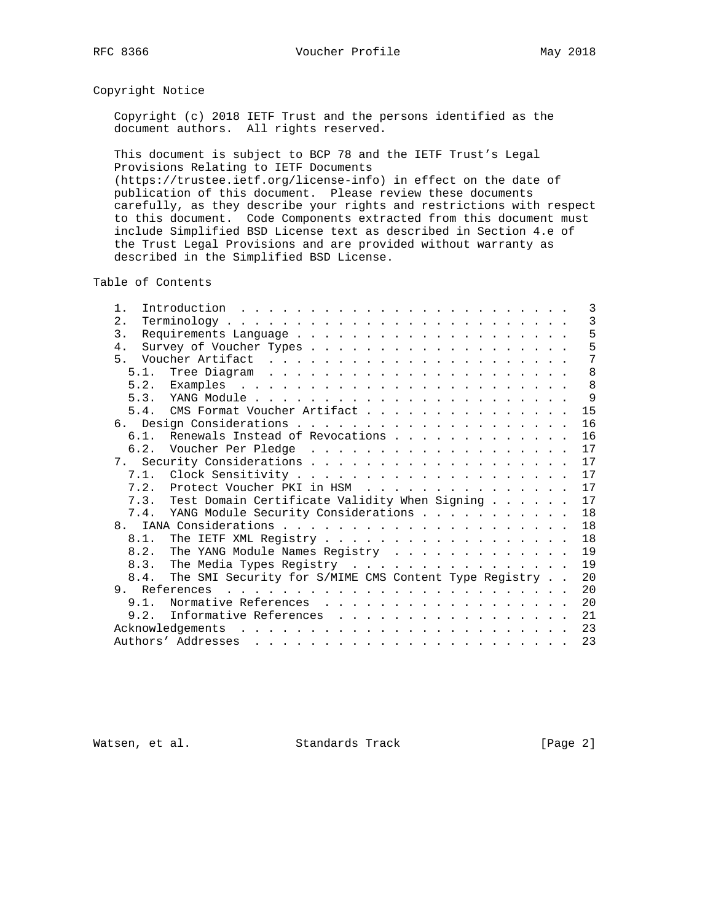# Copyright Notice

 Copyright (c) 2018 IETF Trust and the persons identified as the document authors. All rights reserved.

 This document is subject to BCP 78 and the IETF Trust's Legal Provisions Relating to IETF Documents (https://trustee.ietf.org/license-info) in effect on the date of publication of this document. Please review these documents carefully, as they describe your rights and restrictions with respect to this document. Code Components extracted from this document must include Simplified BSD License text as described in Section 4.e of the Trust Legal Provisions and are provided without warranty as described in the Simplified BSD License.

Table of Contents

| $1$ .              |                                                            |  |  |  |  |  |  |  |  |  |  |  | 3  |
|--------------------|------------------------------------------------------------|--|--|--|--|--|--|--|--|--|--|--|----|
| 2.                 |                                                            |  |  |  |  |  |  |  |  |  |  |  | 3  |
| 3.                 |                                                            |  |  |  |  |  |  |  |  |  |  |  | 5  |
| $4$ .              |                                                            |  |  |  |  |  |  |  |  |  |  |  | 5  |
| $5 -$              |                                                            |  |  |  |  |  |  |  |  |  |  |  | 7  |
|                    |                                                            |  |  |  |  |  |  |  |  |  |  |  | 8  |
|                    |                                                            |  |  |  |  |  |  |  |  |  |  |  | 8  |
|                    |                                                            |  |  |  |  |  |  |  |  |  |  |  | 9  |
|                    | 5.4. CMS Format Voucher Artifact                           |  |  |  |  |  |  |  |  |  |  |  | 15 |
|                    |                                                            |  |  |  |  |  |  |  |  |  |  |  | 16 |
|                    | 6.1. Renewals Instead of Revocations                       |  |  |  |  |  |  |  |  |  |  |  | 16 |
|                    |                                                            |  |  |  |  |  |  |  |  |  |  |  | 17 |
|                    |                                                            |  |  |  |  |  |  |  |  |  |  |  | 17 |
|                    |                                                            |  |  |  |  |  |  |  |  |  |  |  | 17 |
|                    | 7.2. Protect Voucher PKI in HSM                            |  |  |  |  |  |  |  |  |  |  |  | 17 |
|                    | 7.3. Test Domain Certificate Validity When Signing         |  |  |  |  |  |  |  |  |  |  |  | 17 |
|                    | 7.4. YANG Module Security Considerations                   |  |  |  |  |  |  |  |  |  |  |  | 18 |
|                    |                                                            |  |  |  |  |  |  |  |  |  |  |  | 18 |
|                    |                                                            |  |  |  |  |  |  |  |  |  |  |  | 18 |
|                    | 8.2. The YANG Module Names Registry                        |  |  |  |  |  |  |  |  |  |  |  | 19 |
|                    | 8.3. The Media Types Registry                              |  |  |  |  |  |  |  |  |  |  |  | 19 |
|                    | 8.4. The SMI Security for S/MIME CMS Content Type Registry |  |  |  |  |  |  |  |  |  |  |  | 20 |
|                    |                                                            |  |  |  |  |  |  |  |  |  |  |  | 20 |
| 9.1.               |                                                            |  |  |  |  |  |  |  |  |  |  |  | 20 |
|                    | Normative References                                       |  |  |  |  |  |  |  |  |  |  |  |    |
|                    | 9.2. Informative References                                |  |  |  |  |  |  |  |  |  |  |  | 21 |
|                    |                                                            |  |  |  |  |  |  |  |  |  |  |  | 23 |
| Authors' Addresses |                                                            |  |  |  |  |  |  |  |  |  |  |  | 23 |

Watsen, et al. Standards Track [Page 2]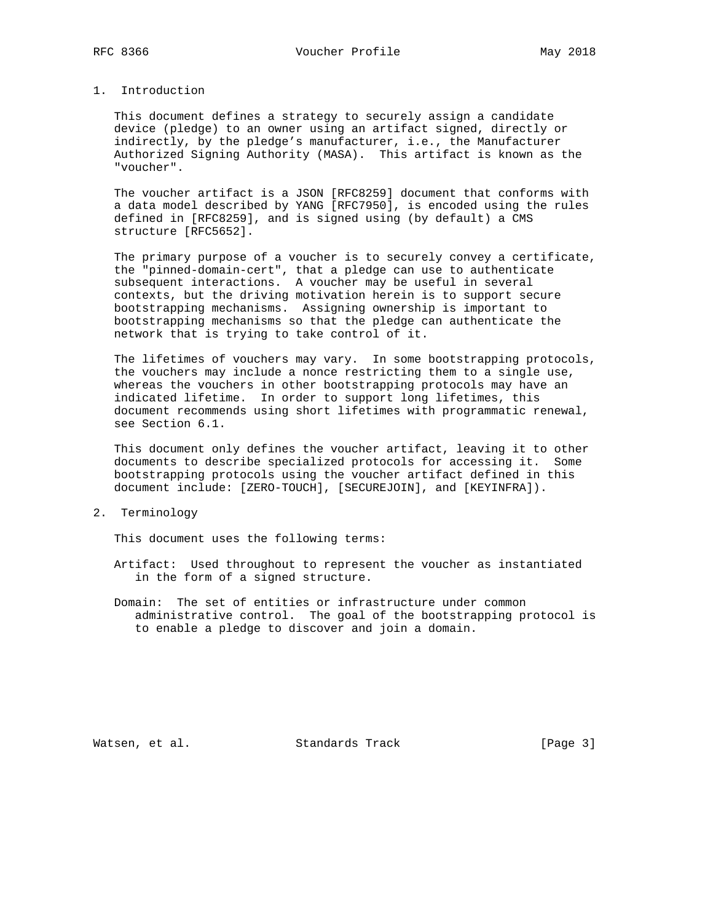This document defines a strategy to securely assign a candidate device (pledge) to an owner using an artifact signed, directly or indirectly, by the pledge's manufacturer, i.e., the Manufacturer Authorized Signing Authority (MASA). This artifact is known as the "voucher".

 The voucher artifact is a JSON [RFC8259] document that conforms with a data model described by YANG [RFC7950], is encoded using the rules defined in [RFC8259], and is signed using (by default) a CMS structure [RFC5652].

 The primary purpose of a voucher is to securely convey a certificate, the "pinned-domain-cert", that a pledge can use to authenticate subsequent interactions. A voucher may be useful in several contexts, but the driving motivation herein is to support secure bootstrapping mechanisms. Assigning ownership is important to bootstrapping mechanisms so that the pledge can authenticate the network that is trying to take control of it.

 The lifetimes of vouchers may vary. In some bootstrapping protocols, the vouchers may include a nonce restricting them to a single use, whereas the vouchers in other bootstrapping protocols may have an indicated lifetime. In order to support long lifetimes, this document recommends using short lifetimes with programmatic renewal, see Section 6.1.

 This document only defines the voucher artifact, leaving it to other documents to describe specialized protocols for accessing it. Some bootstrapping protocols using the voucher artifact defined in this document include: [ZERO-TOUCH], [SECUREJOIN], and [KEYINFRA]).

2. Terminology

This document uses the following terms:

- Artifact: Used throughout to represent the voucher as instantiated in the form of a signed structure.
- Domain: The set of entities or infrastructure under common administrative control. The goal of the bootstrapping protocol is to enable a pledge to discover and join a domain.

Watsen, et al. Standards Track [Page 3]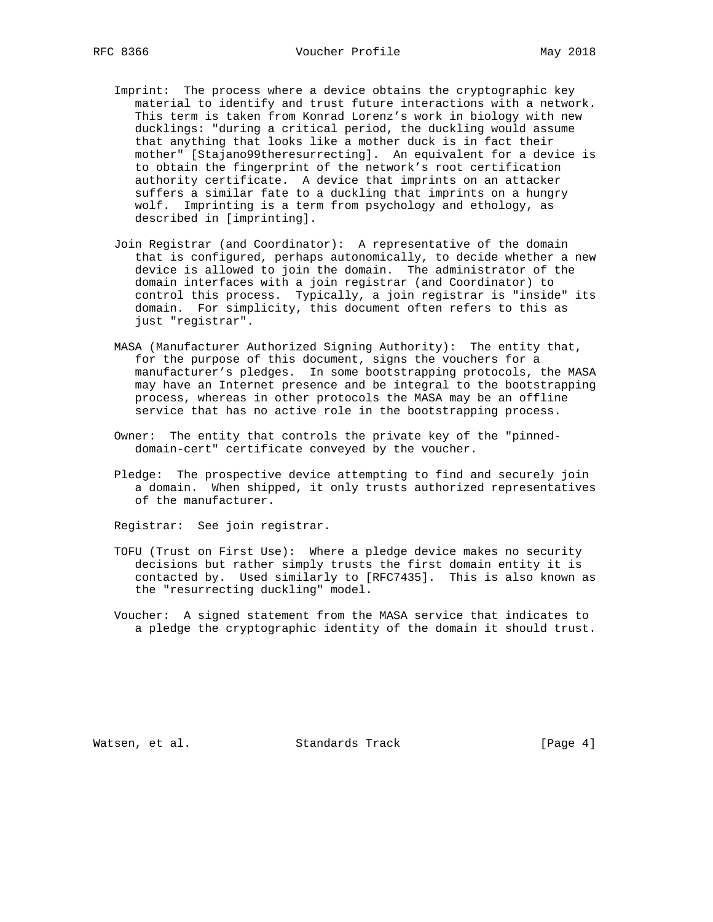- Imprint: The process where a device obtains the cryptographic key material to identify and trust future interactions with a network. This term is taken from Konrad Lorenz's work in biology with new ducklings: "during a critical period, the duckling would assume that anything that looks like a mother duck is in fact their mother" [Stajano99theresurrecting]. An equivalent for a device is to obtain the fingerprint of the network's root certification authority certificate. A device that imprints on an attacker suffers a similar fate to a duckling that imprints on a hungry wolf. Imprinting is a term from psychology and ethology, as described in [imprinting].
- Join Registrar (and Coordinator): A representative of the domain that is configured, perhaps autonomically, to decide whether a new device is allowed to join the domain. The administrator of the domain interfaces with a join registrar (and Coordinator) to control this process. Typically, a join registrar is "inside" its domain. For simplicity, this document often refers to this as just "registrar".
- MASA (Manufacturer Authorized Signing Authority): The entity that, for the purpose of this document, signs the vouchers for a manufacturer's pledges. In some bootstrapping protocols, the MASA may have an Internet presence and be integral to the bootstrapping process, whereas in other protocols the MASA may be an offline service that has no active role in the bootstrapping process.
- Owner: The entity that controls the private key of the "pinned domain-cert" certificate conveyed by the voucher.
- Pledge: The prospective device attempting to find and securely join a domain. When shipped, it only trusts authorized representatives of the manufacturer.

Registrar: See join registrar.

- TOFU (Trust on First Use): Where a pledge device makes no security decisions but rather simply trusts the first domain entity it is contacted by. Used similarly to [RFC7435]. This is also known as the "resurrecting duckling" model.
- Voucher: A signed statement from the MASA service that indicates to a pledge the cryptographic identity of the domain it should trust.

Watsen, et al. Standards Track [Page 4]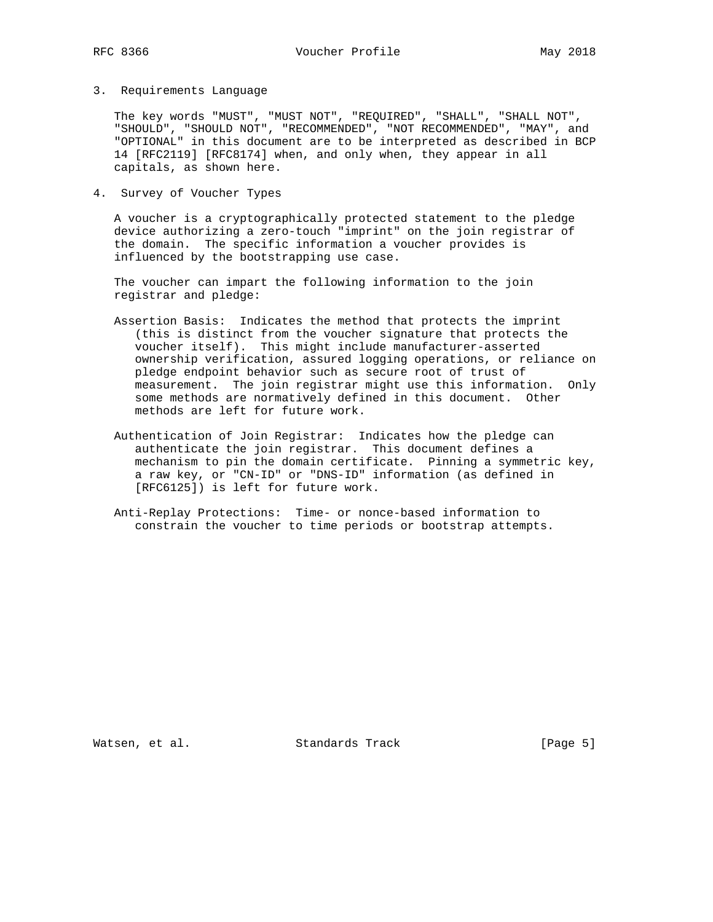3. Requirements Language

 The key words "MUST", "MUST NOT", "REQUIRED", "SHALL", "SHALL NOT", "SHOULD", "SHOULD NOT", "RECOMMENDED", "NOT RECOMMENDED", "MAY", and "OPTIONAL" in this document are to be interpreted as described in BCP 14 [RFC2119] [RFC8174] when, and only when, they appear in all capitals, as shown here.

4. Survey of Voucher Types

 A voucher is a cryptographically protected statement to the pledge device authorizing a zero-touch "imprint" on the join registrar of the domain. The specific information a voucher provides is influenced by the bootstrapping use case.

 The voucher can impart the following information to the join registrar and pledge:

- Assertion Basis: Indicates the method that protects the imprint (this is distinct from the voucher signature that protects the voucher itself). This might include manufacturer-asserted ownership verification, assured logging operations, or reliance on pledge endpoint behavior such as secure root of trust of measurement. The join registrar might use this information. Only some methods are normatively defined in this document. Other methods are left for future work.
- Authentication of Join Registrar: Indicates how the pledge can authenticate the join registrar. This document defines a mechanism to pin the domain certificate. Pinning a symmetric key, a raw key, or "CN-ID" or "DNS-ID" information (as defined in [RFC6125]) is left for future work.
- Anti-Replay Protections: Time- or nonce-based information to constrain the voucher to time periods or bootstrap attempts.

Watsen, et al. Standards Track [Page 5]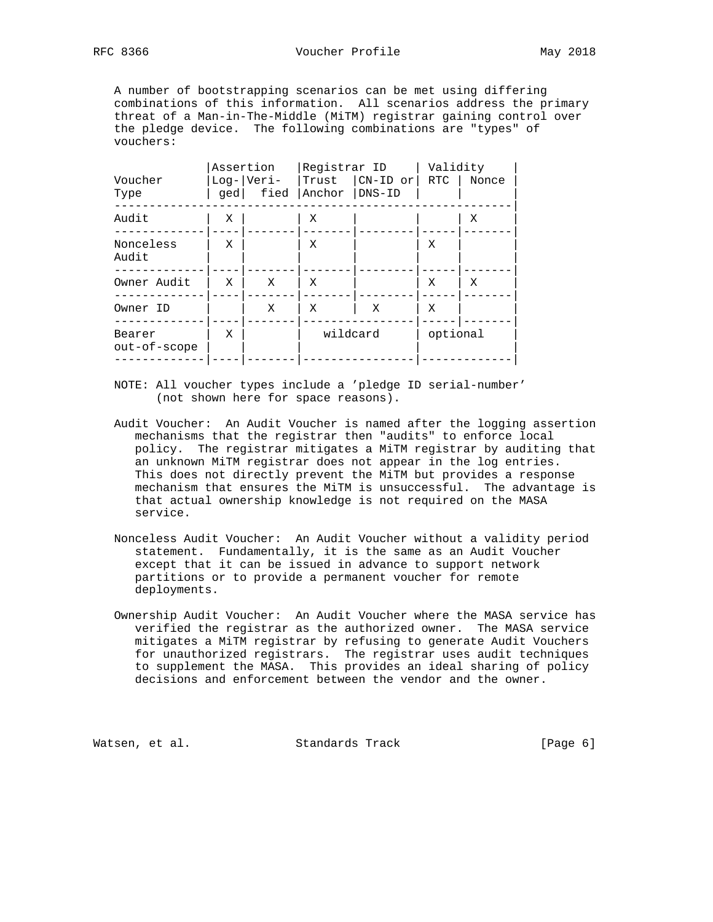A number of bootstrapping scenarios can be met using differing combinations of this information. All scenarios address the primary threat of a Man-in-The-Middle (MiTM) registrar gaining control over the pledge device. The following combinations are "types" of vouchers:

|                        |   | Assertion    | Registrar ID  |             | Validity |       |  |  |
|------------------------|---|--------------|---------------|-------------|----------|-------|--|--|
| Voucher                |   | $Log- Veri-$ | Trust         | $ CN-ID$ or | RTC      | Nonce |  |  |
| Type                   |   | ged  fied    | Anchor DNS-ID |             |          |       |  |  |
| Audit                  | Χ |              | Χ             |             |          | Χ     |  |  |
| Nonceless<br>Audit     | X |              | Χ             |             | Χ        |       |  |  |
|                        |   |              |               |             |          |       |  |  |
| Owner Audit            | X | X            | Χ             |             | Χ        | X     |  |  |
|                        |   |              |               |             |          |       |  |  |
| Owner ID               |   | X            | Χ             | X           | X        |       |  |  |
| Bearer<br>out-of-scope | X |              | wildcard      |             | optional |       |  |  |

- NOTE: All voucher types include a 'pledge ID serial-number' (not shown here for space reasons).
- Audit Voucher: An Audit Voucher is named after the logging assertion mechanisms that the registrar then "audits" to enforce local policy. The registrar mitigates a MiTM registrar by auditing that an unknown MiTM registrar does not appear in the log entries. This does not directly prevent the MiTM but provides a response mechanism that ensures the MiTM is unsuccessful. The advantage is that actual ownership knowledge is not required on the MASA service.
- Nonceless Audit Voucher: An Audit Voucher without a validity period statement. Fundamentally, it is the same as an Audit Voucher except that it can be issued in advance to support network partitions or to provide a permanent voucher for remote deployments.
- Ownership Audit Voucher: An Audit Voucher where the MASA service has verified the registrar as the authorized owner. The MASA service mitigates a MiTM registrar by refusing to generate Audit Vouchers for unauthorized registrars. The registrar uses audit techniques to supplement the MASA. This provides an ideal sharing of policy decisions and enforcement between the vendor and the owner.

Watsen, et al. Standards Track [Page 6]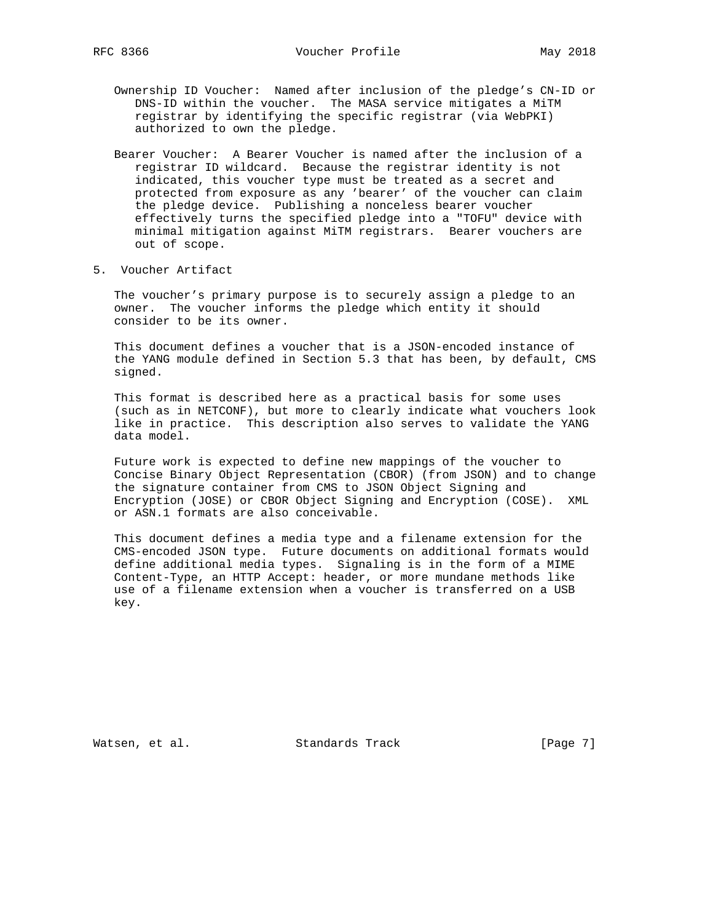- Ownership ID Voucher: Named after inclusion of the pledge's CN-ID or DNS-ID within the voucher. The MASA service mitigates a MiTM registrar by identifying the specific registrar (via WebPKI) authorized to own the pledge.
- Bearer Voucher: A Bearer Voucher is named after the inclusion of a registrar ID wildcard. Because the registrar identity is not indicated, this voucher type must be treated as a secret and protected from exposure as any 'bearer' of the voucher can claim the pledge device. Publishing a nonceless bearer voucher effectively turns the specified pledge into a "TOFU" device with minimal mitigation against MiTM registrars. Bearer vouchers are out of scope.
- 5. Voucher Artifact

 The voucher's primary purpose is to securely assign a pledge to an owner. The voucher informs the pledge which entity it should consider to be its owner.

 This document defines a voucher that is a JSON-encoded instance of the YANG module defined in Section 5.3 that has been, by default, CMS signed.

 This format is described here as a practical basis for some uses (such as in NETCONF), but more to clearly indicate what vouchers look like in practice. This description also serves to validate the YANG data model.

 Future work is expected to define new mappings of the voucher to Concise Binary Object Representation (CBOR) (from JSON) and to change the signature container from CMS to JSON Object Signing and Encryption (JOSE) or CBOR Object Signing and Encryption (COSE). XML or ASN.1 formats are also conceivable.

 This document defines a media type and a filename extension for the CMS-encoded JSON type. Future documents on additional formats would define additional media types. Signaling is in the form of a MIME Content-Type, an HTTP Accept: header, or more mundane methods like use of a filename extension when a voucher is transferred on a USB key.

Watsen, et al. Standards Track [Page 7]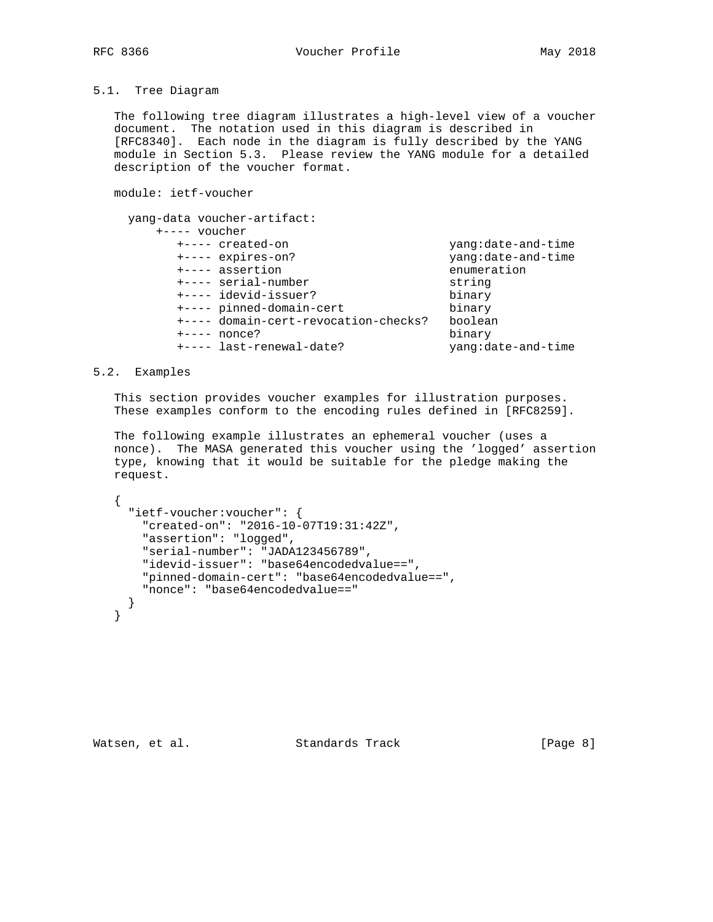# 5.1. Tree Diagram

 The following tree diagram illustrates a high-level view of a voucher document. The notation used in this diagram is described in [RFC8340]. Each node in the diagram is fully described by the YANG module in Section 5.3. Please review the YANG module for a detailed description of the voucher format.

module: ietf-voucher

```
 yang-data voucher-artifact:
       +---- voucher
         +---- created-on yang:date-and-time
                                     yang:date-and-time
         +---- assertion enumeration
        +---- serial-number string<br>+---- idevid-issuer? binary
 +---- idevid-issuer? binary
 +---- pinned-domain-cert binary
         +---- domain-cert-revocation-checks? boolean
         +---- nonce? binary
         +---- last-renewal-date? yang:date-and-time
```
# 5.2. Examples

 This section provides voucher examples for illustration purposes. These examples conform to the encoding rules defined in [RFC8259].

 The following example illustrates an ephemeral voucher (uses a nonce). The MASA generated this voucher using the 'logged' assertion type, knowing that it would be suitable for the pledge making the request.

```
 {
   "ietf-voucher:voucher": {
     "created-on": "2016-10-07T19:31:42Z",
     "assertion": "logged",
     "serial-number": "JADA123456789",
     "idevid-issuer": "base64encodedvalue==",
     "pinned-domain-cert": "base64encodedvalue==",
     "nonce": "base64encodedvalue=="
  }
 }
```
Watsen, et al. Standards Track [Page 8]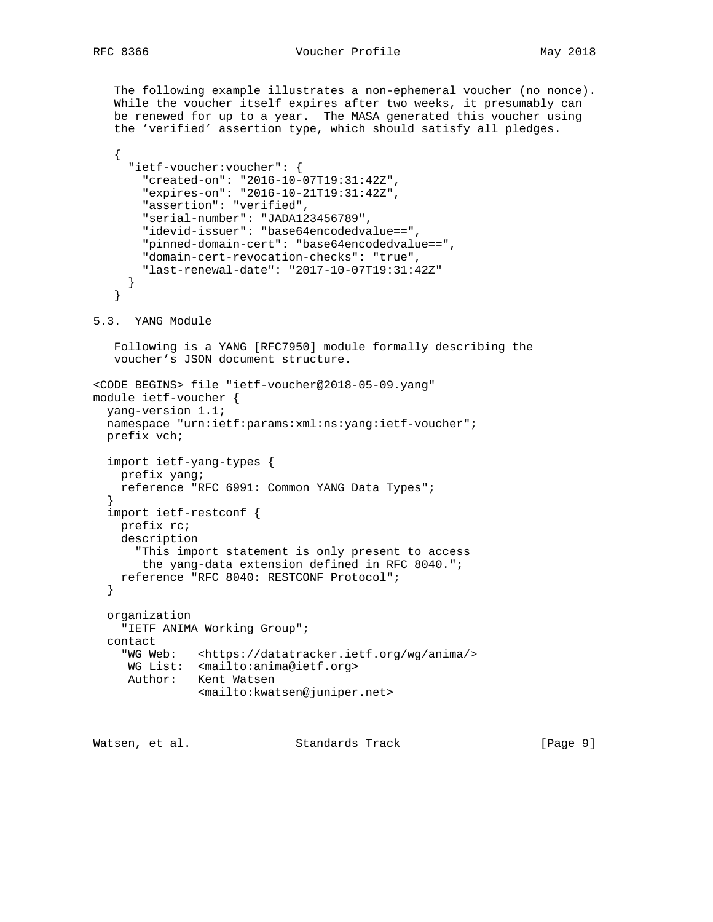The following example illustrates a non-ephemeral voucher (no nonce). While the voucher itself expires after two weeks, it presumably can be renewed for up to a year. The MASA generated this voucher using the 'verified' assertion type, which should satisfy all pledges. { "ietf-voucher:voucher": { "created-on": "2016-10-07T19:31:42Z", "expires-on": "2016-10-21T19:31:42Z", "assertion": "verified", "serial-number": "JADA123456789", "idevid-issuer": "base64encodedvalue==", "pinned-domain-cert": "base64encodedvalue==", "domain-cert-revocation-checks": "true", "last-renewal-date": "2017-10-07T19:31:42Z" } } 5.3. YANG Module Following is a YANG [RFC7950] module formally describing the voucher's JSON document structure. <CODE BEGINS> file "ietf-voucher@2018-05-09.yang" module ietf-voucher { yang-version 1.1; namespace "urn:ietf:params:xml:ns:yang:ietf-voucher"; prefix vch; import ietf-yang-types { prefix yang; reference "RFC 6991: Common YANG Data Types"; } import ietf-restconf { prefix rc; description "This import statement is only present to access the yang-data extension defined in RFC 8040."; reference "RFC 8040: RESTCONF Protocol"; } organization "IETF ANIMA Working Group"; contact "WG Web: <https://datatracker.ietf.org/wg/anima/> WG List: <mailto:anima@ietf.org> Author: Kent Watsen <mailto:kwatsen@juniper.net>

Watsen, et al. Standards Track [Page 9]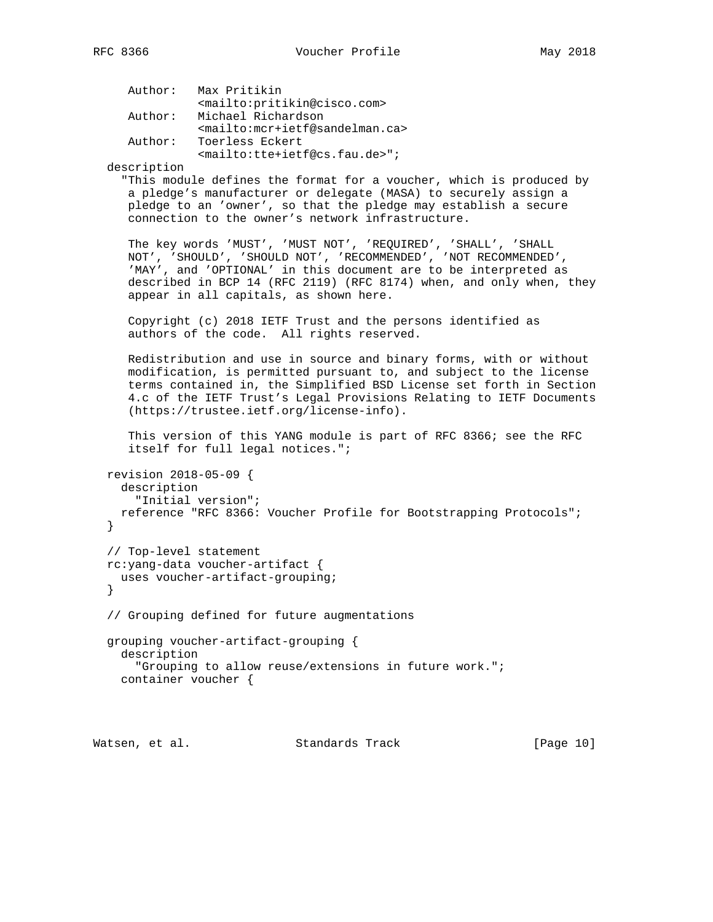```
 Author: Max Pritikin
           <mailto:pritikin@cisco.com>
 Author: Michael Richardson
          <mailto:mcr+ietf@sandelman.ca>
 Author: Toerless Eckert
           <mailto:tte+ietf@cs.fau.de>";
```
description

 "This module defines the format for a voucher, which is produced by a pledge's manufacturer or delegate (MASA) to securely assign a pledge to an 'owner', so that the pledge may establish a secure connection to the owner's network infrastructure.

 The key words 'MUST', 'MUST NOT', 'REQUIRED', 'SHALL', 'SHALL NOT', 'SHOULD', 'SHOULD NOT', 'RECOMMENDED', 'NOT RECOMMENDED', 'MAY', and 'OPTIONAL' in this document are to be interpreted as described in BCP 14 (RFC 2119) (RFC 8174) when, and only when, they appear in all capitals, as shown here.

 Copyright (c) 2018 IETF Trust and the persons identified as authors of the code. All rights reserved.

 Redistribution and use in source and binary forms, with or without modification, is permitted pursuant to, and subject to the license terms contained in, the Simplified BSD License set forth in Section 4.c of the IETF Trust's Legal Provisions Relating to IETF Documents (https://trustee.ietf.org/license-info).

 This version of this YANG module is part of RFC 8366; see the RFC itself for full legal notices.";

```
 revision 2018-05-09 {
   description
     "Initial version";
  reference "RFC 8366: Voucher Profile for Bootstrapping Protocols";
 }
 // Top-level statement
 rc:yang-data voucher-artifact {
  uses voucher-artifact-grouping;
 }
```
// Grouping defined for future augmentations

```
 grouping voucher-artifact-grouping {
  description
     "Grouping to allow reuse/extensions in future work.";
  container voucher {
```
Watsen, et al. Standards Track [Page 10]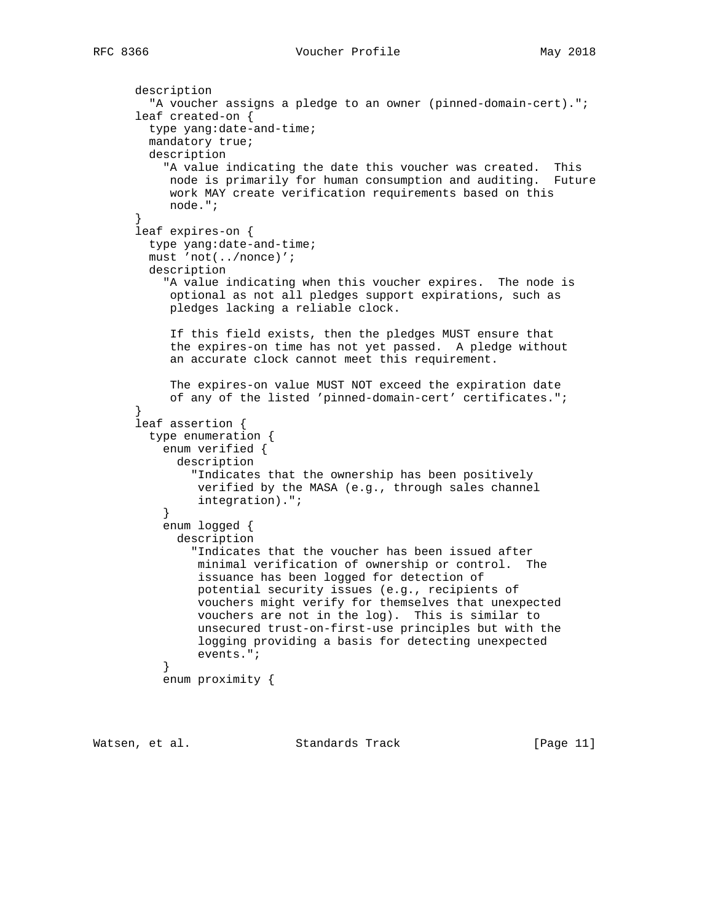```
 description
         "A voucher assigns a pledge to an owner (pinned-domain-cert).";
      leaf created-on {
        type yang:date-and-time;
        mandatory true;
        description
           "A value indicating the date this voucher was created. This
           node is primarily for human consumption and auditing. Future
           work MAY create verification requirements based on this
           node.";
 }
      leaf expires-on {
        type yang:date-and-time;
        must 'not(../nonce)';
        description
          "A value indicating when this voucher expires. The node is
           optional as not all pledges support expirations, such as
           pledges lacking a reliable clock.
            If this field exists, then the pledges MUST ensure that
           the expires-on time has not yet passed. A pledge without
           an accurate clock cannot meet this requirement.
           The expires-on value MUST NOT exceed the expiration date
           of any of the listed 'pinned-domain-cert' certificates.";
 }
      leaf assertion {
        type enumeration {
          enum verified {
            description
              "Indicates that the ownership has been positively
               verified by the MASA (e.g., through sales channel
               integration).";
 }
          enum logged {
            description
               "Indicates that the voucher has been issued after
               minimal verification of ownership or control. The
               issuance has been logged for detection of
               potential security issues (e.g., recipients of
               vouchers might verify for themselves that unexpected
               vouchers are not in the log). This is similar to
               unsecured trust-on-first-use principles but with the
               logging providing a basis for detecting unexpected
               events.";
 }
          enum proximity {
```
Watsen, et al. Standards Track [Page 11]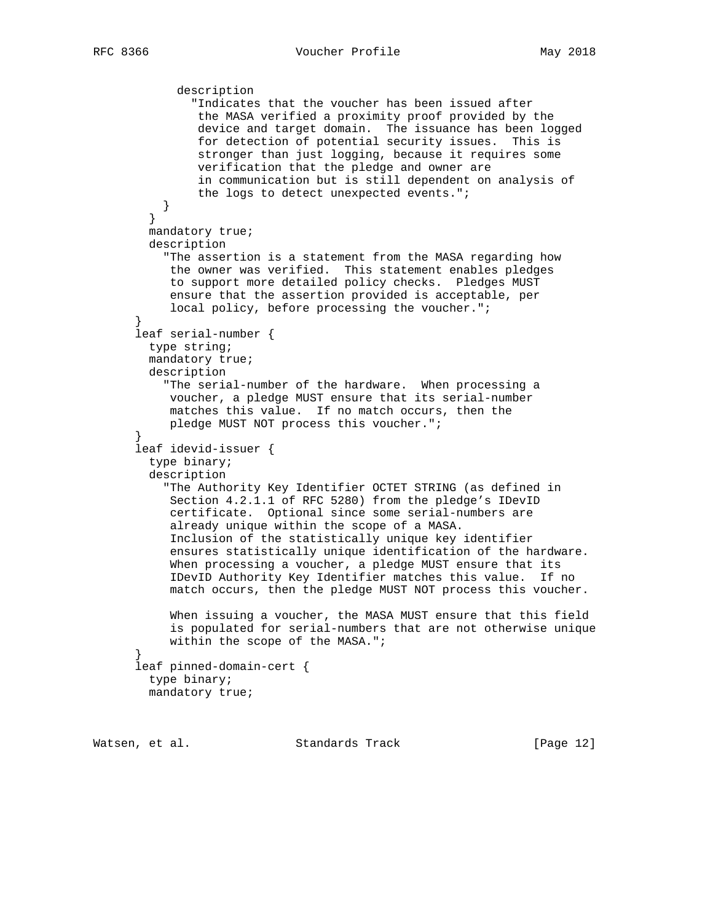```
 description
               "Indicates that the voucher has been issued after
                the MASA verified a proximity proof provided by the
                device and target domain. The issuance has been logged
                for detection of potential security issues. This is
                stronger than just logging, because it requires some
                verification that the pledge and owner are
                in communication but is still dependent on analysis of
                the logs to detect unexpected events.";
           }
         }
        mandatory true;
        description
          "The assertion is a statement from the MASA regarding how
           the owner was verified. This statement enables pledges
           to support more detailed policy checks. Pledges MUST
            ensure that the assertion provided is acceptable, per
            local policy, before processing the voucher.";
 }
      leaf serial-number {
        type string;
        mandatory true;
        description
           "The serial-number of the hardware. When processing a
           voucher, a pledge MUST ensure that its serial-number
           matches this value. If no match occurs, then the
           pledge MUST NOT process this voucher.";
       }
      leaf idevid-issuer {
        type binary;
        description
           "The Authority Key Identifier OCTET STRING (as defined in
           Section 4.2.1.1 of RFC 5280) from the pledge's IDevID
            certificate. Optional since some serial-numbers are
            already unique within the scope of a MASA.
            Inclusion of the statistically unique key identifier
            ensures statistically unique identification of the hardware.
            When processing a voucher, a pledge MUST ensure that its
            IDevID Authority Key Identifier matches this value. If no
            match occurs, then the pledge MUST NOT process this voucher.
            When issuing a voucher, the MASA MUST ensure that this field
            is populated for serial-numbers that are not otherwise unique
            within the scope of the MASA.";
       }
      leaf pinned-domain-cert {
        type binary;
        mandatory true;
```
Watsen, et al. Standards Track [Page 12]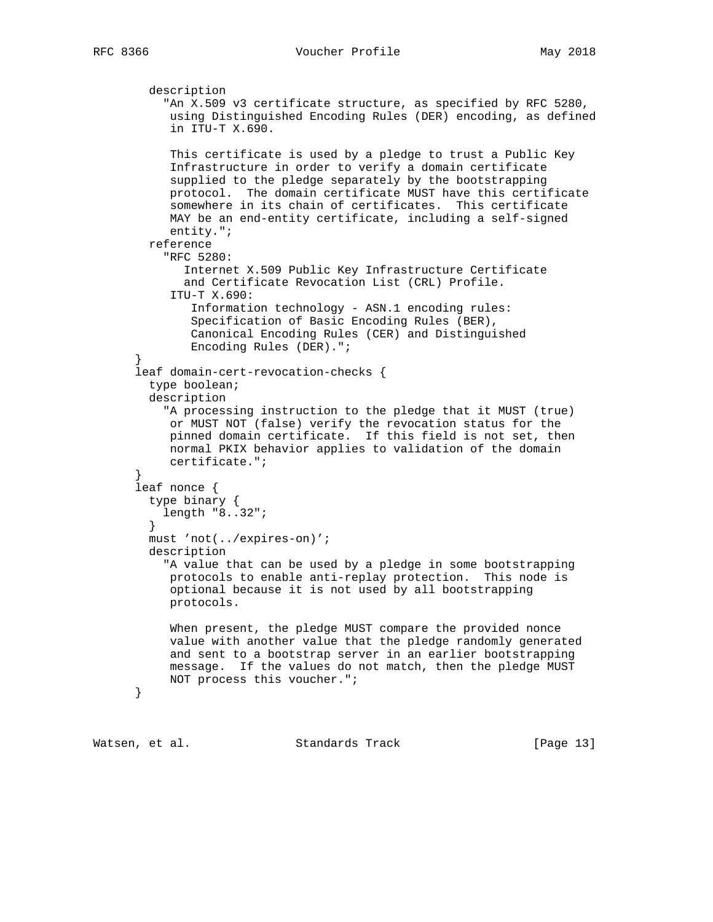```
 description
           "An X.509 v3 certificate structure, as specified by RFC 5280,
            using Distinguished Encoding Rules (DER) encoding, as defined
            in ITU-T X.690.
            This certificate is used by a pledge to trust a Public Key
            Infrastructure in order to verify a domain certificate
            supplied to the pledge separately by the bootstrapping
            protocol. The domain certificate MUST have this certificate
            somewhere in its chain of certificates. This certificate
            MAY be an end-entity certificate, including a self-signed
            entity.";
        reference
           "RFC 5280:
              Internet X.509 Public Key Infrastructure Certificate
              and Certificate Revocation List (CRL) Profile.
            ITU-T X.690:
               Information technology - ASN.1 encoding rules:
               Specification of Basic Encoding Rules (BER),
               Canonical Encoding Rules (CER) and Distinguished
               Encoding Rules (DER).";
       }
      leaf domain-cert-revocation-checks {
        type boolean;
        description
           "A processing instruction to the pledge that it MUST (true)
           or MUST NOT (false) verify the revocation status for the
            pinned domain certificate. If this field is not set, then
            normal PKIX behavior applies to validation of the domain
           certificate.";
 }
       leaf nonce {
         type binary {
          length "8..32";
         }
        must 'not(../expires-on)';
        description
           "A value that can be used by a pledge in some bootstrapping
            protocols to enable anti-replay protection. This node is
            optional because it is not used by all bootstrapping
            protocols.
            When present, the pledge MUST compare the provided nonce
            value with another value that the pledge randomly generated
            and sent to a bootstrap server in an earlier bootstrapping
           message. If the values do not match, then the pledge MUST
           NOT process this voucher.";
      }
```
Watsen, et al. Standards Track [Page 13]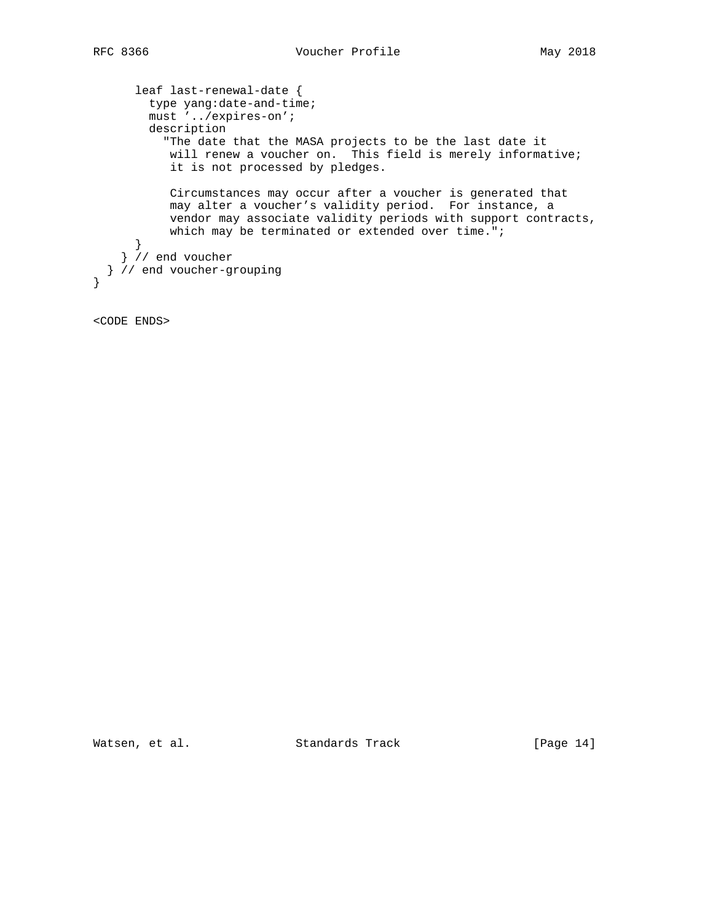```
 leaf last-renewal-date {
        type yang:date-and-time;
        must '../expires-on';
        description
           "The date that the MASA projects to be the last date it
           will renew a voucher on. This field is merely informative;
           it is not processed by pledges.
           Circumstances may occur after a voucher is generated that
           may alter a voucher's validity period. For instance, a
           vendor may associate validity periods with support contracts,
          which may be terminated or extended over time.";
 }
 } // end voucher
  } // end voucher-grouping
}
```
<CODE ENDS>

Watsen, et al. Standards Track [Page 14]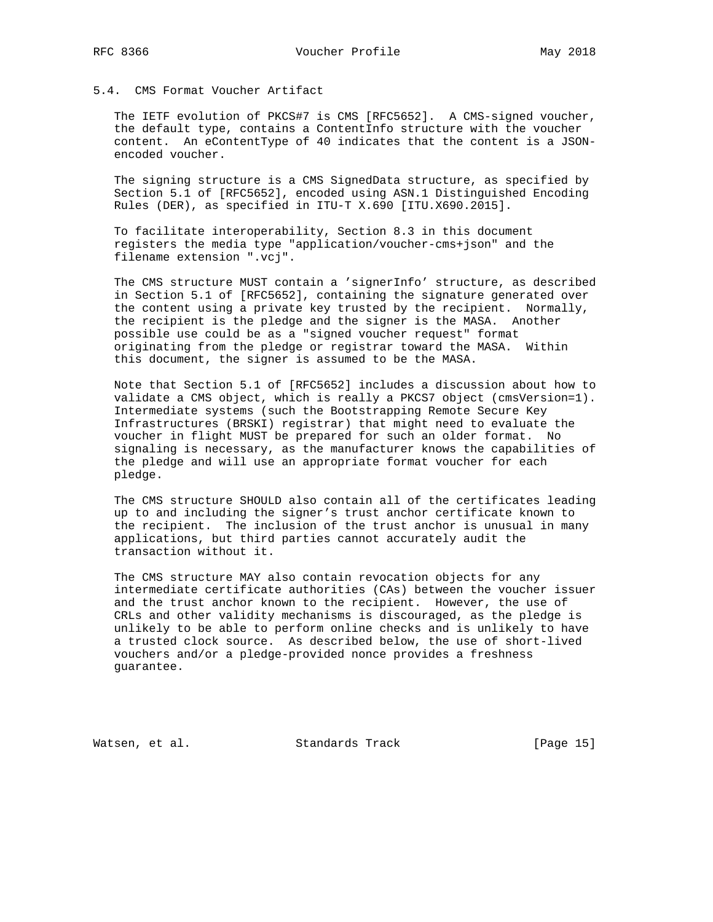# 5.4. CMS Format Voucher Artifact

 The IETF evolution of PKCS#7 is CMS [RFC5652]. A CMS-signed voucher, the default type, contains a ContentInfo structure with the voucher content. An eContentType of 40 indicates that the content is a JSON encoded voucher.

 The signing structure is a CMS SignedData structure, as specified by Section 5.1 of [RFC5652], encoded using ASN.1 Distinguished Encoding Rules (DER), as specified in ITU-T X.690 [ITU.X690.2015].

 To facilitate interoperability, Section 8.3 in this document registers the media type "application/voucher-cms+json" and the filename extension ".vcj".

 The CMS structure MUST contain a 'signerInfo' structure, as described in Section 5.1 of [RFC5652], containing the signature generated over the content using a private key trusted by the recipient. Normally, the recipient is the pledge and the signer is the MASA. Another possible use could be as a "signed voucher request" format originating from the pledge or registrar toward the MASA. Within this document, the signer is assumed to be the MASA.

 Note that Section 5.1 of [RFC5652] includes a discussion about how to validate a CMS object, which is really a PKCS7 object (cmsVersion=1). Intermediate systems (such the Bootstrapping Remote Secure Key Infrastructures (BRSKI) registrar) that might need to evaluate the voucher in flight MUST be prepared for such an older format. No signaling is necessary, as the manufacturer knows the capabilities of the pledge and will use an appropriate format voucher for each pledge.

 The CMS structure SHOULD also contain all of the certificates leading up to and including the signer's trust anchor certificate known to the recipient. The inclusion of the trust anchor is unusual in many applications, but third parties cannot accurately audit the transaction without it.

 The CMS structure MAY also contain revocation objects for any intermediate certificate authorities (CAs) between the voucher issuer and the trust anchor known to the recipient. However, the use of CRLs and other validity mechanisms is discouraged, as the pledge is unlikely to be able to perform online checks and is unlikely to have a trusted clock source. As described below, the use of short-lived vouchers and/or a pledge-provided nonce provides a freshness guarantee.

Watsen, et al. Standards Track [Page 15]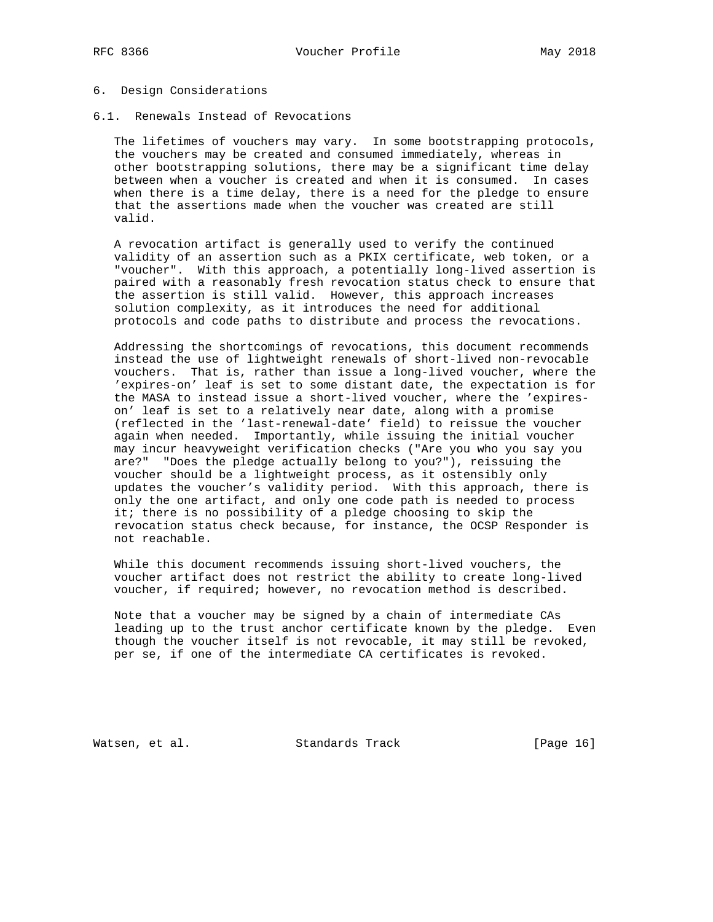#### 6. Design Considerations

6.1. Renewals Instead of Revocations

 The lifetimes of vouchers may vary. In some bootstrapping protocols, the vouchers may be created and consumed immediately, whereas in other bootstrapping solutions, there may be a significant time delay between when a voucher is created and when it is consumed. In cases when there is a time delay, there is a need for the pledge to ensure that the assertions made when the voucher was created are still valid.

 A revocation artifact is generally used to verify the continued validity of an assertion such as a PKIX certificate, web token, or a "voucher". With this approach, a potentially long-lived assertion is paired with a reasonably fresh revocation status check to ensure that the assertion is still valid. However, this approach increases solution complexity, as it introduces the need for additional protocols and code paths to distribute and process the revocations.

 Addressing the shortcomings of revocations, this document recommends instead the use of lightweight renewals of short-lived non-revocable vouchers. That is, rather than issue a long-lived voucher, where the 'expires-on' leaf is set to some distant date, the expectation is for the MASA to instead issue a short-lived voucher, where the 'expires on' leaf is set to a relatively near date, along with a promise (reflected in the 'last-renewal-date' field) to reissue the voucher again when needed. Importantly, while issuing the initial voucher may incur heavyweight verification checks ("Are you who you say you are?" "Does the pledge actually belong to you?"), reissuing the voucher should be a lightweight process, as it ostensibly only updates the voucher's validity period. With this approach, there is only the one artifact, and only one code path is needed to process it; there is no possibility of a pledge choosing to skip the revocation status check because, for instance, the OCSP Responder is not reachable.

 While this document recommends issuing short-lived vouchers, the voucher artifact does not restrict the ability to create long-lived voucher, if required; however, no revocation method is described.

 Note that a voucher may be signed by a chain of intermediate CAs leading up to the trust anchor certificate known by the pledge. Even though the voucher itself is not revocable, it may still be revoked, per se, if one of the intermediate CA certificates is revoked.

Watsen, et al. Standards Track [Page 16]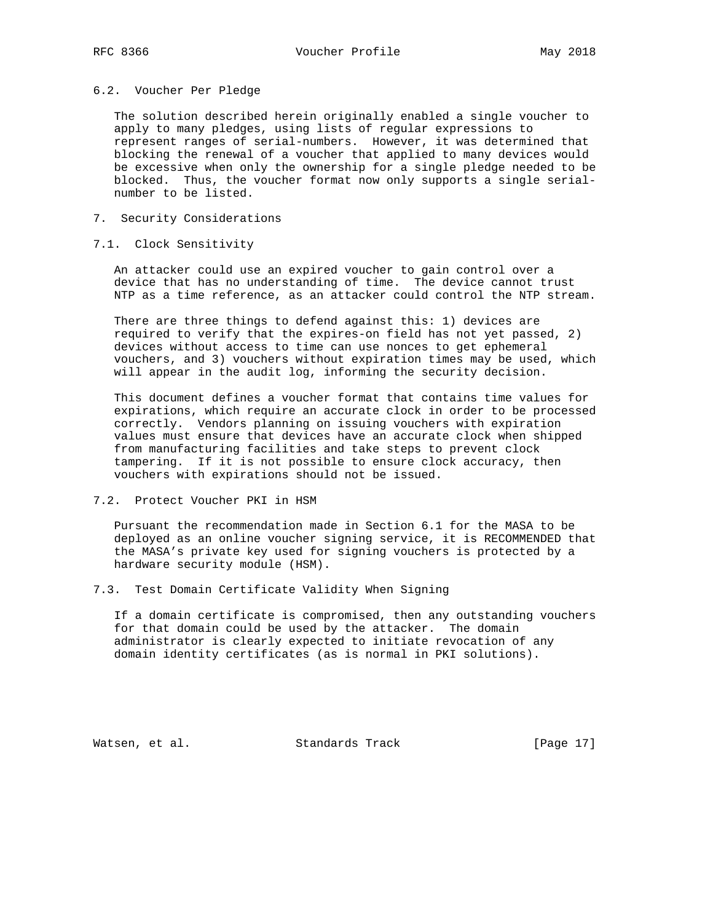#### 6.2. Voucher Per Pledge

 The solution described herein originally enabled a single voucher to apply to many pledges, using lists of regular expressions to represent ranges of serial-numbers. However, it was determined that blocking the renewal of a voucher that applied to many devices would be excessive when only the ownership for a single pledge needed to be blocked. Thus, the voucher format now only supports a single serial number to be listed.

## 7. Security Considerations

### 7.1. Clock Sensitivity

 An attacker could use an expired voucher to gain control over a device that has no understanding of time. The device cannot trust NTP as a time reference, as an attacker could control the NTP stream.

 There are three things to defend against this: 1) devices are required to verify that the expires-on field has not yet passed, 2) devices without access to time can use nonces to get ephemeral vouchers, and 3) vouchers without expiration times may be used, which will appear in the audit log, informing the security decision.

 This document defines a voucher format that contains time values for expirations, which require an accurate clock in order to be processed correctly. Vendors planning on issuing vouchers with expiration values must ensure that devices have an accurate clock when shipped from manufacturing facilities and take steps to prevent clock tampering. If it is not possible to ensure clock accuracy, then vouchers with expirations should not be issued.

#### 7.2. Protect Voucher PKI in HSM

 Pursuant the recommendation made in Section 6.1 for the MASA to be deployed as an online voucher signing service, it is RECOMMENDED that the MASA's private key used for signing vouchers is protected by a hardware security module (HSM).

7.3. Test Domain Certificate Validity When Signing

 If a domain certificate is compromised, then any outstanding vouchers for that domain could be used by the attacker. The domain administrator is clearly expected to initiate revocation of any domain identity certificates (as is normal in PKI solutions).

Watsen, et al. Standards Track [Page 17]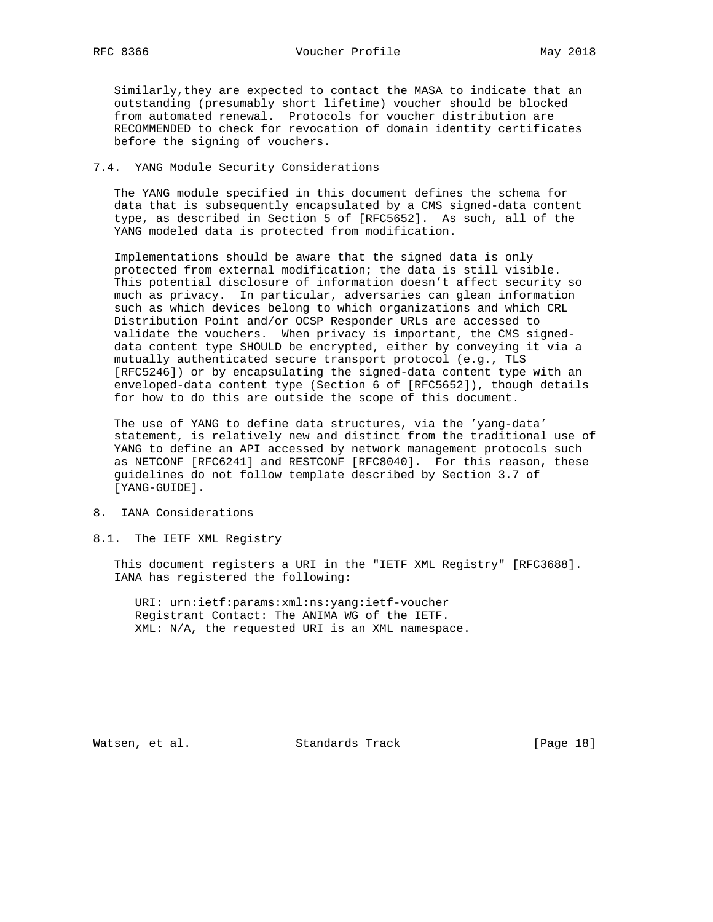Similarly,they are expected to contact the MASA to indicate that an outstanding (presumably short lifetime) voucher should be blocked from automated renewal. Protocols for voucher distribution are RECOMMENDED to check for revocation of domain identity certificates before the signing of vouchers.

## 7.4. YANG Module Security Considerations

 The YANG module specified in this document defines the schema for data that is subsequently encapsulated by a CMS signed-data content type, as described in Section 5 of [RFC5652]. As such, all of the YANG modeled data is protected from modification.

 Implementations should be aware that the signed data is only protected from external modification; the data is still visible. This potential disclosure of information doesn't affect security so much as privacy. In particular, adversaries can glean information such as which devices belong to which organizations and which CRL Distribution Point and/or OCSP Responder URLs are accessed to validate the vouchers. When privacy is important, the CMS signed data content type SHOULD be encrypted, either by conveying it via a mutually authenticated secure transport protocol (e.g., TLS [RFC5246]) or by encapsulating the signed-data content type with an enveloped-data content type (Section 6 of [RFC5652]), though details for how to do this are outside the scope of this document.

 The use of YANG to define data structures, via the 'yang-data' statement, is relatively new and distinct from the traditional use of YANG to define an API accessed by network management protocols such as NETCONF [RFC6241] and RESTCONF [RFC8040]. For this reason, these guidelines do not follow template described by Section 3.7 of [YANG-GUIDE].

# 8. IANA Considerations

8.1. The IETF XML Registry

 This document registers a URI in the "IETF XML Registry" [RFC3688]. IANA has registered the following:

 URI: urn:ietf:params:xml:ns:yang:ietf-voucher Registrant Contact: The ANIMA WG of the IETF. XML: N/A, the requested URI is an XML namespace.

Watsen, et al. Standards Track [Page 18]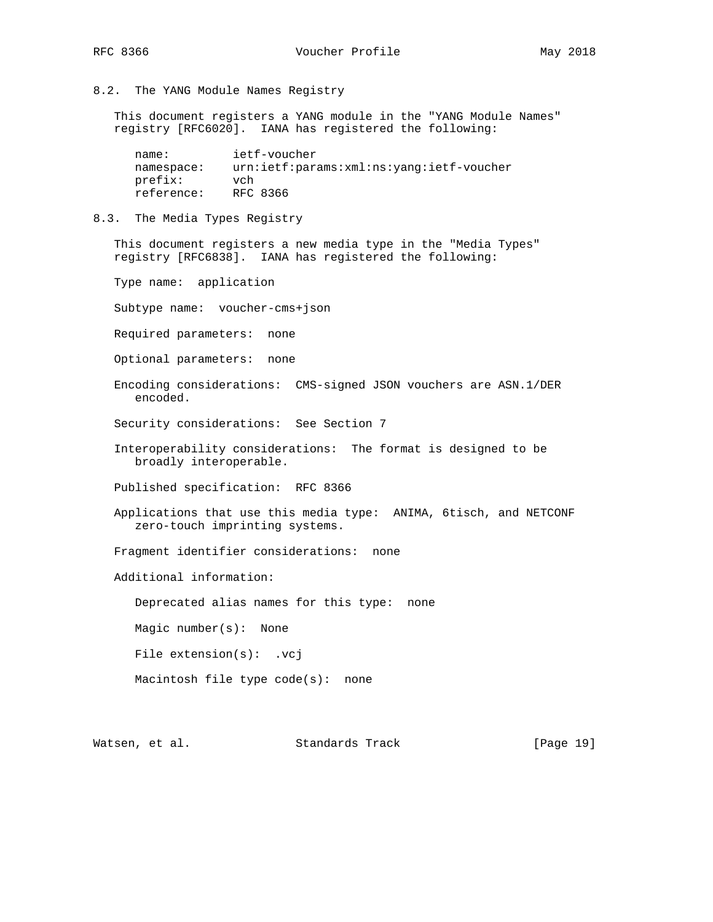8.2. The YANG Module Names Registry

 This document registers a YANG module in the "YANG Module Names" registry [RFC6020]. IANA has registered the following:

 name: ietf-voucher namespace: urn:ietf:params:xml:ns:yang:ietf-voucher prefix: vch reference: RFC 8366

## 8.3. The Media Types Registry

 This document registers a new media type in the "Media Types" registry [RFC6838]. IANA has registered the following:

Type name: application

Subtype name: voucher-cms+json

Required parameters: none

Optional parameters: none

 Encoding considerations: CMS-signed JSON vouchers are ASN.1/DER encoded.

Security considerations: See Section 7

 Interoperability considerations: The format is designed to be broadly interoperable.

Published specification: RFC 8366

 Applications that use this media type: ANIMA, 6tisch, and NETCONF zero-touch imprinting systems.

Fragment identifier considerations: none

Additional information:

Deprecated alias names for this type: none

Magic number(s): None

File extension(s): .vcj

Macintosh file type code(s): none

Watsen, et al. Standards Track [Page 19]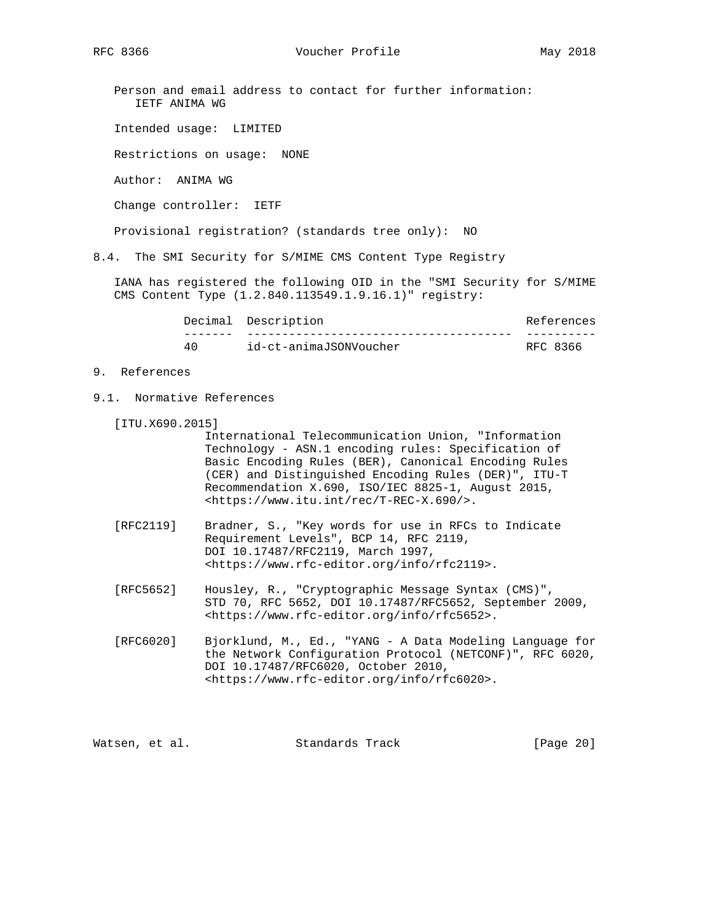RFC 8366 Voucher Profile May 2018

 Person and email address to contact for further information: IETF ANIMA WG

Intended usage: LIMITED

Restrictions on usage: NONE

Author: ANIMA WG

Change controller: IETF

Provisional registration? (standards tree only): NO

8.4. The SMI Security for S/MIME CMS Content Type Registry

 IANA has registered the following OID in the "SMI Security for S/MIME CMS Content Type (1.2.840.113549.1.9.16.1)" registry:

|    | Decimal Description    | References |  |  |
|----|------------------------|------------|--|--|
|    |                        |            |  |  |
| 40 | id-ct-animaJSONVoucher | RFC 8366   |  |  |

- 9. References
- 9.1. Normative References
	- [ITU.X690.2015]

 International Telecommunication Union, "Information Technology - ASN.1 encoding rules: Specification of Basic Encoding Rules (BER), Canonical Encoding Rules (CER) and Distinguished Encoding Rules (DER)", ITU-T Recommendation X.690, ISO/IEC 8825-1, August 2015, <https://www.itu.int/rec/T-REC-X.690/>.

- [RFC2119] Bradner, S., "Key words for use in RFCs to Indicate Requirement Levels", BCP 14, RFC 2119, DOI 10.17487/RFC2119, March 1997, <https://www.rfc-editor.org/info/rfc2119>.
- [RFC5652] Housley, R., "Cryptographic Message Syntax (CMS)", STD 70, RFC 5652, DOI 10.17487/RFC5652, September 2009, <https://www.rfc-editor.org/info/rfc5652>.
- [RFC6020] Bjorklund, M., Ed., "YANG A Data Modeling Language for the Network Configuration Protocol (NETCONF)", RFC 6020, DOI 10.17487/RFC6020, October 2010, <https://www.rfc-editor.org/info/rfc6020>.

Watsen, et al. Standards Track [Page 20]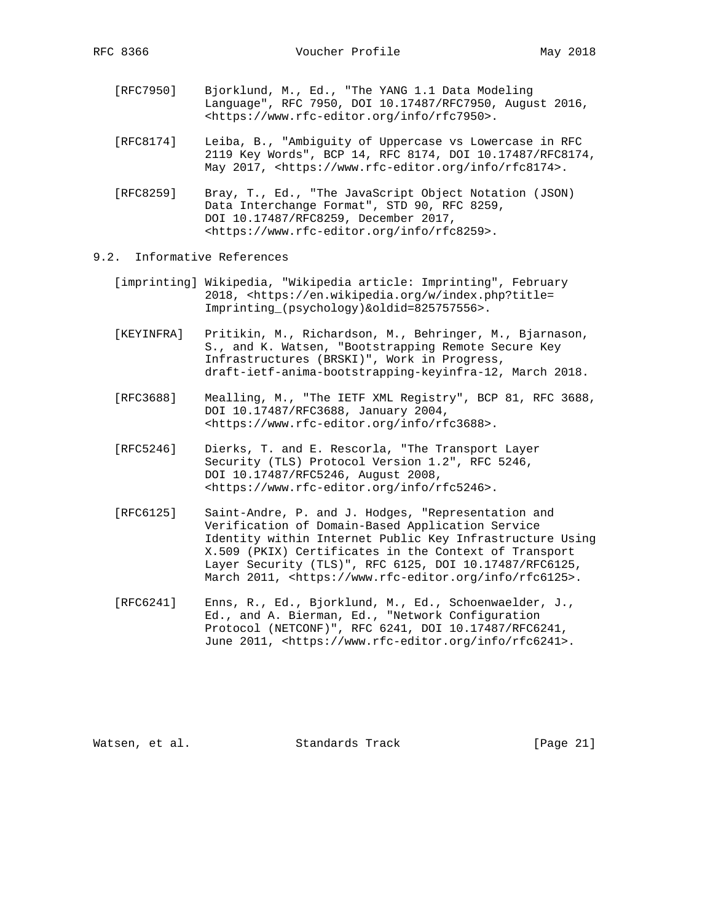- [RFC7950] Bjorklund, M., Ed., "The YANG 1.1 Data Modeling Language", RFC 7950, DOI 10.17487/RFC7950, August 2016, <https://www.rfc-editor.org/info/rfc7950>.
	- [RFC8174] Leiba, B., "Ambiguity of Uppercase vs Lowercase in RFC 2119 Key Words", BCP 14, RFC 8174, DOI 10.17487/RFC8174, May 2017, <https://www.rfc-editor.org/info/rfc8174>.
	- [RFC8259] Bray, T., Ed., "The JavaScript Object Notation (JSON) Data Interchange Format", STD 90, RFC 8259, DOI 10.17487/RFC8259, December 2017, <https://www.rfc-editor.org/info/rfc8259>.
- 9.2. Informative References
	- [imprinting] Wikipedia, "Wikipedia article: Imprinting", February 2018, <https://en.wikipedia.org/w/index.php?title= Imprinting\_(psychology)&oldid=825757556>.
	- [KEYINFRA] Pritikin, M., Richardson, M., Behringer, M., Bjarnason, S., and K. Watsen, "Bootstrapping Remote Secure Key Infrastructures (BRSKI)", Work in Progress, draft-ietf-anima-bootstrapping-keyinfra-12, March 2018.
	- [RFC3688] Mealling, M., "The IETF XML Registry", BCP 81, RFC 3688, DOI 10.17487/RFC3688, January 2004, <https://www.rfc-editor.org/info/rfc3688>.
	- [RFC5246] Dierks, T. and E. Rescorla, "The Transport Layer Security (TLS) Protocol Version 1.2", RFC 5246, DOI 10.17487/RFC5246, August 2008, <https://www.rfc-editor.org/info/rfc5246>.
	- [RFC6125] Saint-Andre, P. and J. Hodges, "Representation and Verification of Domain-Based Application Service Identity within Internet Public Key Infrastructure Using X.509 (PKIX) Certificates in the Context of Transport Layer Security (TLS)", RFC 6125, DOI 10.17487/RFC6125, March 2011, <https://www.rfc-editor.org/info/rfc6125>.
	- [RFC6241] Enns, R., Ed., Bjorklund, M., Ed., Schoenwaelder, J., Ed., and A. Bierman, Ed., "Network Configuration Protocol (NETCONF)", RFC 6241, DOI 10.17487/RFC6241, June 2011, <https://www.rfc-editor.org/info/rfc6241>.

Watsen, et al. Standards Track [Page 21]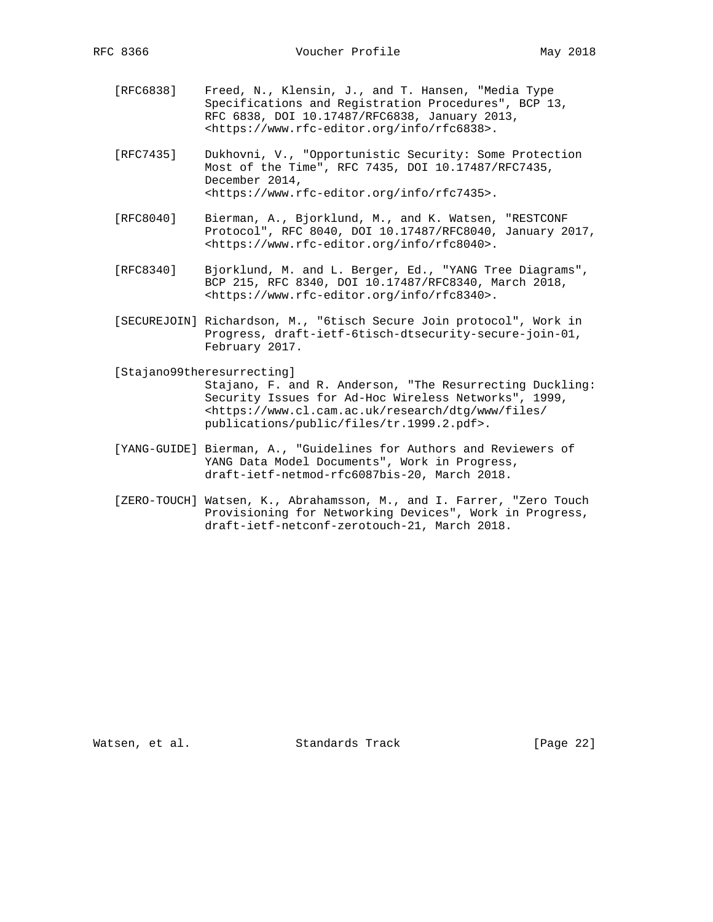- [RFC6838] Freed, N., Klensin, J., and T. Hansen, "Media Type Specifications and Registration Procedures", BCP 13, RFC 6838, DOI 10.17487/RFC6838, January 2013, <https://www.rfc-editor.org/info/rfc6838>.
- [RFC7435] Dukhovni, V., "Opportunistic Security: Some Protection Most of the Time", RFC 7435, DOI 10.17487/RFC7435, December 2014, <https://www.rfc-editor.org/info/rfc7435>.
- [RFC8040] Bierman, A., Bjorklund, M., and K. Watsen, "RESTCONF Protocol", RFC 8040, DOI 10.17487/RFC8040, January 2017, <https://www.rfc-editor.org/info/rfc8040>.
- [RFC8340] Bjorklund, M. and L. Berger, Ed., "YANG Tree Diagrams", BCP 215, RFC 8340, DOI 10.17487/RFC8340, March 2018, <https://www.rfc-editor.org/info/rfc8340>.
- [SECUREJOIN] Richardson, M., "6tisch Secure Join protocol", Work in Progress, draft-ietf-6tisch-dtsecurity-secure-join-01, February 2017.

[Stajano99theresurrecting]

 Stajano, F. and R. Anderson, "The Resurrecting Duckling: Security Issues for Ad-Hoc Wireless Networks", 1999, <https://www.cl.cam.ac.uk/research/dtg/www/files/ publications/public/files/tr.1999.2.pdf>.

- [YANG-GUIDE] Bierman, A., "Guidelines for Authors and Reviewers of YANG Data Model Documents", Work in Progress, draft-ietf-netmod-rfc6087bis-20, March 2018.
- [ZERO-TOUCH] Watsen, K., Abrahamsson, M., and I. Farrer, "Zero Touch Provisioning for Networking Devices", Work in Progress, draft-ietf-netconf-zerotouch-21, March 2018.

Watsen, et al. Standards Track [Page 22]